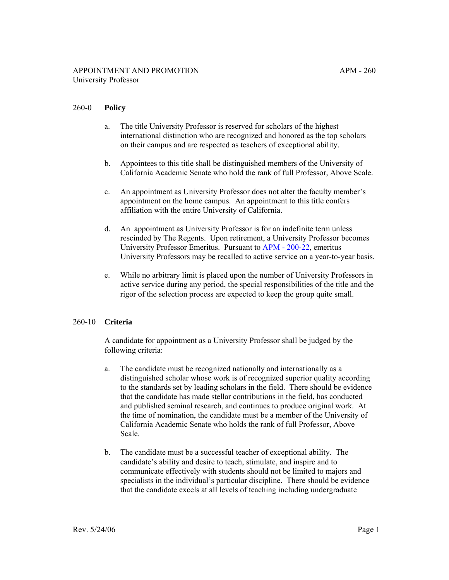# 260-0 **Policy**

- a. The title University Professor is reserved for scholars of the highest international distinction who are recognized and honored as the top scholars on their campus and are respected as teachers of exceptional ability.
- b. Appointees to this title shall be distinguished members of the University of California Academic Senate who hold the rank of full Professor, Above Scale.
- c. An appointment as University Professor does not alter the faculty member's appointment on the home campus. An appointment to this title confers affiliation with the entire University of California.
- d. An appointment as University Professor is for an indefinite term unless rescinded by The Regents. Upon retirement, a University Professor becomes University Professor Emeritus. Pursuant to [APM - 200-22](http://ucop.edu/academic-personnel-programs/_files/apm/apm-200.pdf), emeritus University Professors may be recalled to active service on a year-to-year basis.
- e. While no arbitrary limit is placed upon the number of University Professors in active service during any period, the special responsibilities of the title and the rigor of the selection process are expected to keep the group quite small.

# 260-10 **Criteria**

A candidate for appointment as a University Professor shall be judged by the following criteria:

- a. The candidate must be recognized nationally and internationally as a distinguished scholar whose work is of recognized superior quality according to the standards set by leading scholars in the field. There should be evidence that the candidate has made stellar contributions in the field, has conducted and published seminal research, and continues to produce original work. At the time of nomination, the candidate must be a member of the University of California Academic Senate who holds the rank of full Professor, Above Scale.
- b. The candidate must be a successful teacher of exceptional ability. The candidate's ability and desire to teach, stimulate, and inspire and to communicate effectively with students should not be limited to majors and specialists in the individual's particular discipline. There should be evidence that the candidate excels at all levels of teaching including undergraduate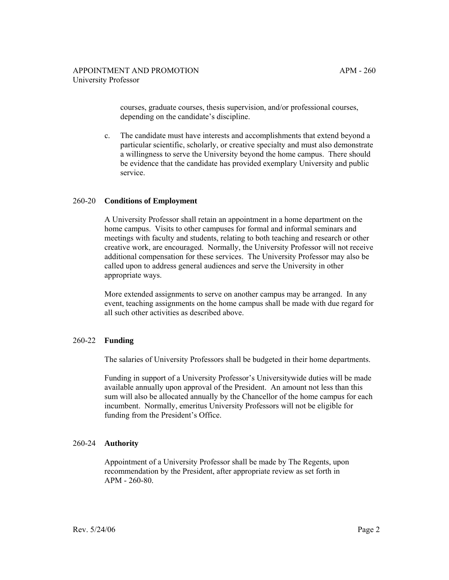courses, graduate courses, thesis supervision, and/or professional courses, depending on the candidate's discipline.

c. The candidate must have interests and accomplishments that extend beyond a particular scientific, scholarly, or creative specialty and must also demonstrate a willingness to serve the University beyond the home campus. There should be evidence that the candidate has provided exemplary University and public service.

#### 260-20 **Conditions of Employment**

A University Professor shall retain an appointment in a home department on the home campus. Visits to other campuses for formal and informal seminars and meetings with faculty and students, relating to both teaching and research or other creative work, are encouraged. Normally, the University Professor will not receive additional compensation for these services. The University Professor may also be called upon to address general audiences and serve the University in other appropriate ways.

More extended assignments to serve on another campus may be arranged. In any event, teaching assignments on the home campus shall be made with due regard for all such other activities as described above.

#### 260-22 **Funding**

The salaries of University Professors shall be budgeted in their home departments.

Funding in support of a University Professor's Universitywide duties will be made available annually upon approval of the President. An amount not less than this sum will also be allocated annually by the Chancellor of the home campus for each incumbent. Normally, emeritus University Professors will not be eligible for funding from the President's Office.

# 260-24 **Authority**

Appointment of a University Professor shall be made by The Regents, upon recommendation by the President, after appropriate review as set forth in APM - 260-80.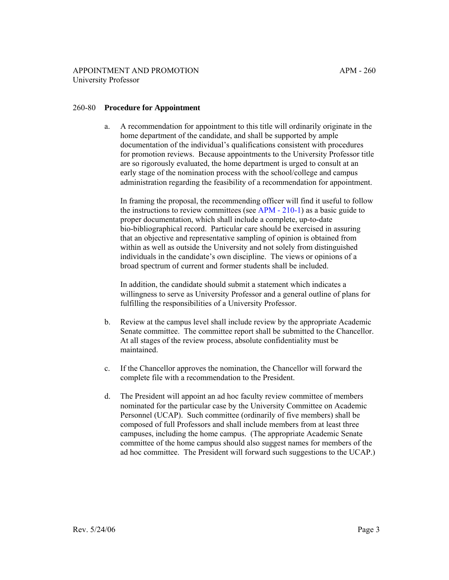### 260-80 **Procedure for Appointment**

a. A recommendation for appointment to this title will ordinarily originate in the home department of the candidate, and shall be supported by ample documentation of the individual's qualifications consistent with procedures for promotion reviews. Because appointments to the University Professor title are so rigorously evaluated, the home department is urged to consult at an early stage of the nomination process with the school/college and campus administration regarding the feasibility of a recommendation for appointment.

In framing the proposal, the recommending officer will find it useful to follow the instructions to review committees (see [APM - 210-1\)](http://ucop.edu/academic-personnel-programs/_files/apm/apm-210.pdf) as a basic guide to proper documentation, which shall include a complete, up-to-date bio-bibliographical record. Particular care should be exercised in assuring that an objective and representative sampling of opinion is obtained from within as well as outside the University and not solely from distinguished individuals in the candidate's own discipline. The views or opinions of a broad spectrum of current and former students shall be included.

In addition, the candidate should submit a statement which indicates a willingness to serve as University Professor and a general outline of plans for fulfilling the responsibilities of a University Professor.

- b. Review at the campus level shall include review by the appropriate Academic Senate committee. The committee report shall be submitted to the Chancellor. At all stages of the review process, absolute confidentiality must be maintained.
- c. If the Chancellor approves the nomination, the Chancellor will forward the complete file with a recommendation to the President.
- d. The President will appoint an ad hoc faculty review committee of members nominated for the particular case by the University Committee on Academic Personnel (UCAP). Such committee (ordinarily of five members) shall be composed of full Professors and shall include members from at least three campuses, including the home campus. (The appropriate Academic Senate committee of the home campus should also suggest names for members of the ad hoc committee. The President will forward such suggestions to the UCAP.)